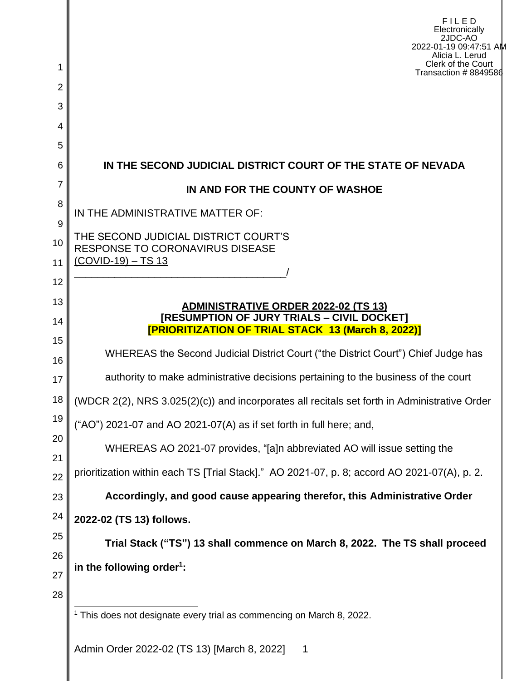| 1              | FILED<br>Electronically<br>2JDC-AO<br>2022-01-19 09:47:51 AM<br>Alicia L. Lerud<br>Clerk of the Court   |  |  |  |  |
|----------------|---------------------------------------------------------------------------------------------------------|--|--|--|--|
| $\overline{2}$ | Transaction # 8849586                                                                                   |  |  |  |  |
| 3              |                                                                                                         |  |  |  |  |
| 4              |                                                                                                         |  |  |  |  |
| 5              |                                                                                                         |  |  |  |  |
| 6              | IN THE SECOND JUDICIAL DISTRICT COURT OF THE STATE OF NEVADA                                            |  |  |  |  |
| 7              | IN AND FOR THE COUNTY OF WASHOE                                                                         |  |  |  |  |
| 8              | IN THE ADMINISTRATIVE MATTER OF:                                                                        |  |  |  |  |
| 9<br>10        | THE SECOND JUDICIAL DISTRICT COURT'S                                                                    |  |  |  |  |
| 11             | <b>RESPONSE TO CORONAVIRUS DISEASE</b><br>$(COVID-19) - TS 13$                                          |  |  |  |  |
| 12             |                                                                                                         |  |  |  |  |
| 13             | ADMINISTRATIVE ORDER 2022-02 (TS 13)                                                                    |  |  |  |  |
| 14             | [RESUMPTION OF JURY TRIALS - CIVIL DOCKET]<br><b>[PRIORITIZATION OF TRIAL STACK 13 (March 8, 2022)]</b> |  |  |  |  |
| 15             |                                                                                                         |  |  |  |  |
| 16             | WHEREAS the Second Judicial District Court ("the District Court") Chief Judge has                       |  |  |  |  |
| 17             | authority to make administrative decisions pertaining to the business of the court                      |  |  |  |  |
| 18             | (WDCR 2(2), NRS 3.025(2)(c)) and incorporates all recitals set forth in Administrative Order            |  |  |  |  |
| 19             | ("AO") 2021-07 and AO 2021-07(A) as if set forth in full here; and,                                     |  |  |  |  |
| 20<br>21       | WHEREAS AO 2021-07 provides, "[a]n abbreviated AO will issue setting the                                |  |  |  |  |
| 22             | prioritization within each TS [Trial Stack]." AO 2021-07, p. 8; accord AO 2021-07(A), p. 2.             |  |  |  |  |
| 23             | Accordingly, and good cause appearing therefor, this Administrative Order                               |  |  |  |  |
| 24             | 2022-02 (TS 13) follows.                                                                                |  |  |  |  |
| 25             | Trial Stack ("TS") 13 shall commence on March 8, 2022. The TS shall proceed                             |  |  |  |  |
| 26             |                                                                                                         |  |  |  |  |
| 27             | in the following order <sup>1</sup> :                                                                   |  |  |  |  |
| 28             | <sup>1</sup> This does not designate every trial as commencing on March 8, 2022.                        |  |  |  |  |
|                | Admin Order 2022-02 (TS 13) IMarch 8 2022]                                                              |  |  |  |  |

Admin Order 2022-02 (TS 13) [March 8, 2022] 1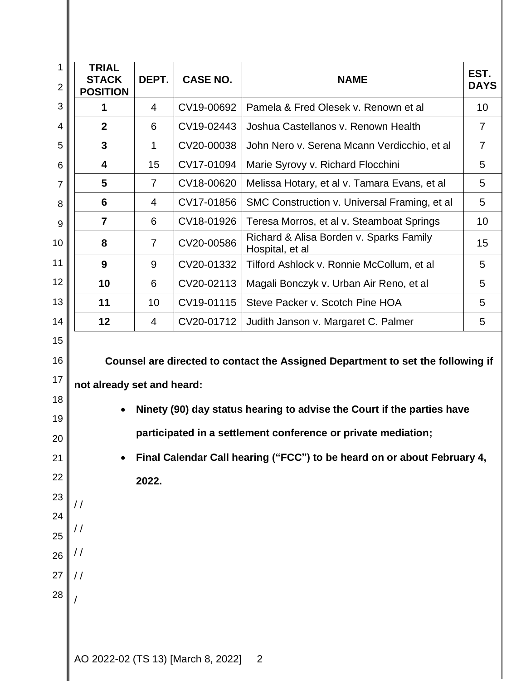| 1<br>$\overline{2}$                                | <b>TRIAL</b><br><b>STACK</b><br><b>POSITION</b>                                                                                                                                                                                                           | DEPT.          | <b>CASE NO.</b>                    | <b>NAME</b>                                                | EST.<br><b>DAYS</b> |
|----------------------------------------------------|-----------------------------------------------------------------------------------------------------------------------------------------------------------------------------------------------------------------------------------------------------------|----------------|------------------------------------|------------------------------------------------------------|---------------------|
| 3                                                  | 1                                                                                                                                                                                                                                                         | $\overline{4}$ | CV19-00692                         | Pamela & Fred Olesek v. Renown et al                       | 10                  |
| 4                                                  | $\boldsymbol{2}$                                                                                                                                                                                                                                          | 6              | CV19-02443                         | Joshua Castellanos v. Renown Health                        | $\overline{7}$      |
| 5                                                  | $\mathbf{3}$                                                                                                                                                                                                                                              | 1              | CV20-00038                         | John Nero v. Serena Mcann Verdicchio, et al                | $\overline{7}$      |
| 6                                                  | 4                                                                                                                                                                                                                                                         | 15             | CV17-01094                         | Marie Syrovy v. Richard Flocchini                          | 5                   |
| 7                                                  | 5                                                                                                                                                                                                                                                         | $\overline{7}$ | CV18-00620                         | Melissa Hotary, et al v. Tamara Evans, et al               | 5                   |
| 8                                                  | 6                                                                                                                                                                                                                                                         | 4              | CV17-01856                         | SMC Construction v. Universal Framing, et al               | 5                   |
| 9                                                  | 7                                                                                                                                                                                                                                                         | 6              | CV18-01926                         | Teresa Morros, et al v. Steamboat Springs                  | 10                  |
| 10                                                 | 8                                                                                                                                                                                                                                                         | $\overline{7}$ | CV20-00586                         | Richard & Alisa Borden v. Sparks Family<br>Hospital, et al | 15                  |
| 11                                                 | 9                                                                                                                                                                                                                                                         | 9              | CV20-01332                         | Tilford Ashlock v. Ronnie McCollum, et al                  | 5                   |
| 12                                                 | 10                                                                                                                                                                                                                                                        | 6              | CV20-02113                         | Magali Bonczyk v. Urban Air Reno, et al                    | 5                   |
| 13                                                 | 11                                                                                                                                                                                                                                                        | 10             | CV19-01115                         | Steve Packer v. Scotch Pine HOA                            | 5                   |
| 14                                                 | 12                                                                                                                                                                                                                                                        | 4              | CV20-01712                         | Judith Janson v. Margaret C. Palmer                        | 5                   |
| 17<br>18<br>19<br>20<br>21<br>22<br>23<br>24<br>25 | not already set and heard:<br>Ninety (90) day status hearing to advise the Court if the parties have<br>participated in a settlement conference or private mediation;<br>Final Calendar Call hearing ("FCC") to be heard on or about February 4,<br>2022. |                |                                    |                                                            |                     |
| 26                                                 | $\frac{1}{2}$                                                                                                                                                                                                                                             |                |                                    |                                                            |                     |
| 27                                                 |                                                                                                                                                                                                                                                           |                |                                    |                                                            |                     |
| 28                                                 |                                                                                                                                                                                                                                                           |                |                                    |                                                            |                     |
|                                                    |                                                                                                                                                                                                                                                           |                | AO 2022-02 (TS 13) [March 8, 2022] | $\overline{\phantom{0}}^2$                                 |                     |